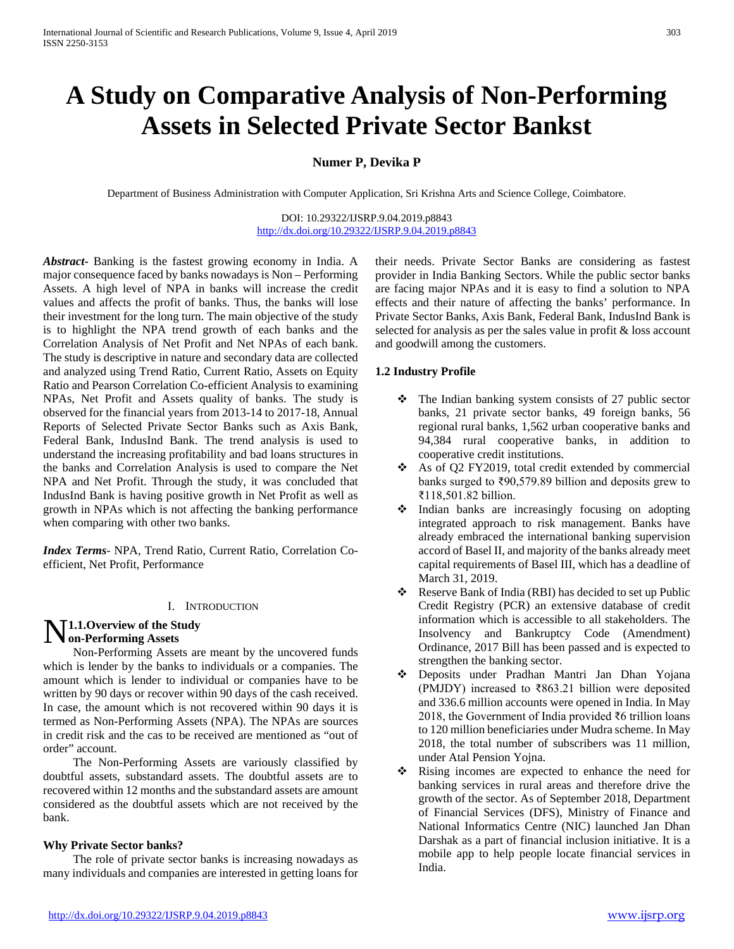# **A Study on Comparative Analysis of Non-Performing Assets in Selected Private Sector Bankst**

**Numer P, Devika P**

Department of Business Administration with Computer Application, Sri Krishna Arts and Science College, Coimbatore.

DOI: 10.29322/IJSRP.9.04.2019.p8843 [http://dx.doi.org/10.29322/IJSRP.9.04.2019.p8843](http://dx.doi.org/10.29322/IJSRP.9.03.2019.p8843)

*Abstract***-** Banking is the fastest growing economy in India. A major consequence faced by banks nowadays is Non – Performing Assets. A high level of NPA in banks will increase the credit values and affects the profit of banks. Thus, the banks will lose their investment for the long turn. The main objective of the study is to highlight the NPA trend growth of each banks and the Correlation Analysis of Net Profit and Net NPAs of each bank. The study is descriptive in nature and secondary data are collected and analyzed using Trend Ratio, Current Ratio, Assets on Equity Ratio and Pearson Correlation Co-efficient Analysis to examining NPAs, Net Profit and Assets quality of banks. The study is observed for the financial years from 2013-14 to 2017-18, Annual Reports of Selected Private Sector Banks such as Axis Bank, Federal Bank, IndusInd Bank. The trend analysis is used to understand the increasing profitability and bad loans structures in the banks and Correlation Analysis is used to compare the Net NPA and Net Profit. Through the study, it was concluded that IndusInd Bank is having positive growth in Net Profit as well as growth in NPAs which is not affecting the banking performance when comparing with other two banks.

*Index Terms*- NPA, Trend Ratio, Current Ratio, Correlation Coefficient, Net Profit, Performance

#### I. INTRODUCTION

# **N** 1.1. Overview of the Study<br>
on-Performing Assets **on-Performing Assets**

 Non-Performing Assets are meant by the uncovered funds which is lender by the banks to individuals or a companies. The amount which is lender to individual or companies have to be written by 90 days or recover within 90 days of the cash received. In case, the amount which is not recovered within 90 days it is termed as Non-Performing Assets (NPA). The NPAs are sources in credit risk and the cas to be received are mentioned as "out of order" account.

 The Non-Performing Assets are variously classified by doubtful assets, substandard assets. The doubtful assets are to recovered within 12 months and the substandard assets are amount considered as the doubtful assets which are not received by the bank.

#### **Why Private Sector banks?**

 The role of private sector banks is increasing nowadays as many individuals and companies are interested in getting loans for their needs. Private Sector Banks are considering as fastest provider in India Banking Sectors. While the public sector banks are facing major NPAs and it is easy to find a solution to NPA effects and their nature of affecting the banks' performance. In Private Sector Banks, Axis Bank, Federal Bank, IndusInd Bank is selected for analysis as per the sales value in profit & loss account and goodwill among the customers.

#### **1.2 Industry Profile**

- The Indian banking system consists of 27 public sector banks, 21 private sector banks, 49 foreign banks, 56 regional rural banks, 1,562 urban cooperative banks and 94,384 rural cooperative banks, in addition to cooperative credit institutions.
- \* As of Q2 FY2019, total credit extended by commercial banks surged to ₹90,579.89 billion and deposits grew to ₹118,501.82 billion.
- $\triangleleft$  Indian banks are increasingly focusing on adopting integrated approach to risk management. Banks have already embraced the international banking supervision accord of Basel II, and majority of the banks already meet capital requirements of Basel III, which has a deadline of March 31, 2019.
- Reserve Bank of India (RBI) has decided to set up Public Credit Registry (PCR) an extensive database of credit information which is accessible to all stakeholders. The Insolvency and Bankruptcy Code (Amendment) Ordinance, 2017 Bill has been passed and is expected to strengthen the banking sector.
- Deposits under Pradhan Mantri Jan Dhan Yojana (PMJDY) increased to ₹863.21 billion were deposited and 336.6 million accounts were opened in India. In May 2018, the Government of India provided ₹6 trillion loans to 120 million beneficiaries under Mudra scheme. In May 2018, the total number of subscribers was 11 million, under Atal Pension Yojna.
- Rising incomes are expected to enhance the need for banking services in rural areas and therefore drive the growth of the sector. As of September 2018, Department of Financial Services (DFS), Ministry of Finance and National Informatics Centre (NIC) launched Jan Dhan Darshak as a part of financial inclusion initiative. It is a mobile app to help people locate financial services in India.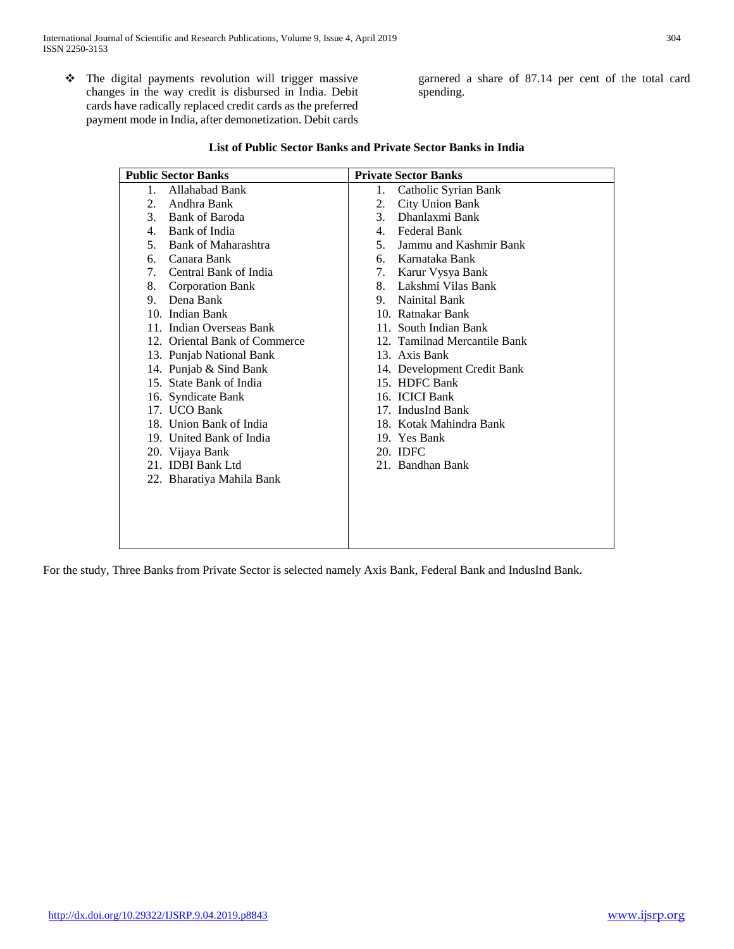The digital payments revolution will trigger massive changes in the way credit is disbursed in India. Debit cards have radically replaced credit cards as the preferred payment mode in India, after demonetization. Debit cards garnered a share of 87.14 per cent of the total card spending.

| <b>Public Sector Banks</b>            | <b>Private Sector Banks</b>              |
|---------------------------------------|------------------------------------------|
| Allahabad Bank<br>$1_{-}$             | Catholic Syrian Bank<br>1.               |
| Andhra Bank<br>2.                     | 2.<br><b>City Union Bank</b>             |
| Bank of Baroda<br>$\mathcal{E}$       | Dhanlaxmi Bank<br>3 <sub>1</sub>         |
| Bank of India<br>4.                   | Federal Bank<br>4.                       |
| 5 <sub>1</sub><br>Bank of Maharashtra | 5 <sub>1</sub><br>Jammu and Kashmir Bank |
| Canara Bank<br>б.                     | Karnataka Bank<br>რ. -                   |
| Central Bank of India<br>7.           | Karur Vysya Bank<br>7.                   |
| 8.<br><b>Corporation Bank</b>         | Lakshmi Vilas Bank<br>8.                 |
| Dena Bank<br>9.                       | Nainital Bank<br>9.                      |
| 10. Indian Bank                       | 10. Ratnakar Bank                        |
| 11. Indian Overseas Bank              | 11. South Indian Bank                    |
| 12. Oriental Bank of Commerce         | 12. Tamilnad Mercantile Bank             |
| 13. Punjab National Bank              | 13. Axis Bank                            |
| 14. Punjab & Sind Bank                | 14. Development Credit Bank              |
| 15. State Bank of India               | 15. HDFC Bank                            |
| 16. Syndicate Bank                    | 16. ICICI Bank                           |
| 17. UCO Bank                          | 17. IndusInd Bank                        |
| 18. Union Bank of India               | 18. Kotak Mahindra Bank                  |
| 19. United Bank of India              | 19. Yes Bank                             |
| 20. Vijaya Bank                       | 20. IDFC                                 |
| 21. <b>IDBI</b> Bank Ltd              | 21. Bandhan Bank                         |
| 22. Bharatiya Mahila Bank             |                                          |
|                                       |                                          |
|                                       |                                          |
|                                       |                                          |
|                                       |                                          |
|                                       |                                          |

| List of Public Sector Banks and Private Sector Banks in India |
|---------------------------------------------------------------|
|---------------------------------------------------------------|

For the study, Three Banks from Private Sector is selected namely Axis Bank, Federal Bank and IndusInd Bank.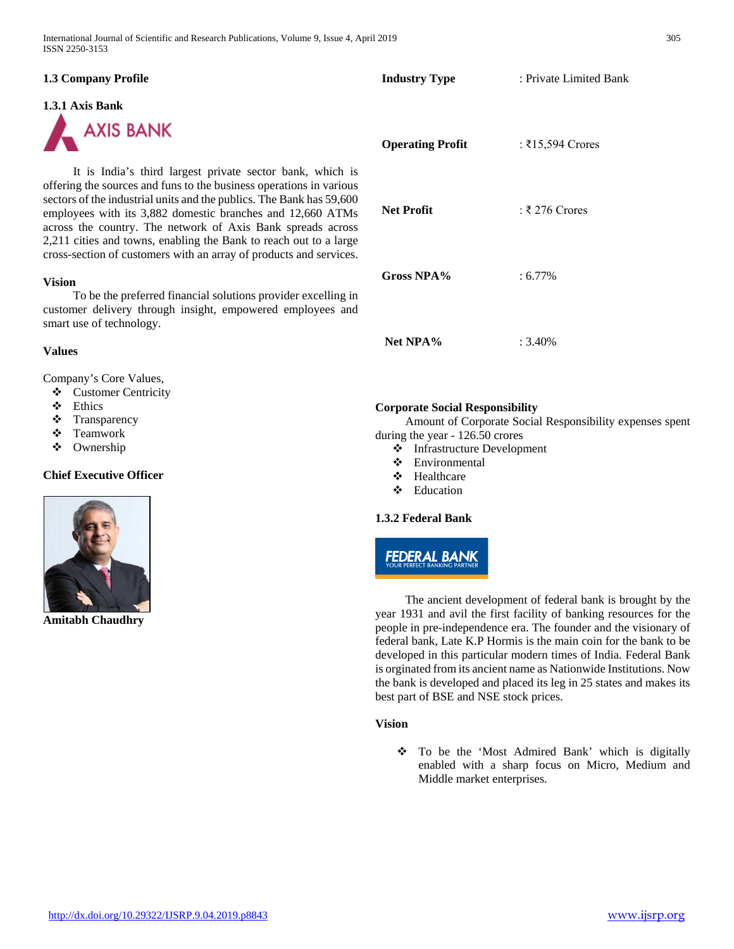| <b>1.3 Company Profile</b>                                                                                                                                                                                                                                                                                                                                                                                                                                                       | <b>Industry Type</b>                                                                                      | : Private Limited Bank                                  |
|----------------------------------------------------------------------------------------------------------------------------------------------------------------------------------------------------------------------------------------------------------------------------------------------------------------------------------------------------------------------------------------------------------------------------------------------------------------------------------|-----------------------------------------------------------------------------------------------------------|---------------------------------------------------------|
| 1.3.1 Axis Bank<br><b>AXIS BANK</b>                                                                                                                                                                                                                                                                                                                                                                                                                                              | <b>Operating Profit</b>                                                                                   | : ₹15,594 Crores                                        |
| It is India's third largest private sector bank, which is<br>offering the sources and funs to the business operations in various<br>sectors of the industrial units and the publics. The Bank has 59,600<br>employees with its 3,882 domestic branches and 12,660 ATMs<br>across the country. The network of Axis Bank spreads across<br>2,211 cities and towns, enabling the Bank to reach out to a large<br>cross-section of customers with an array of products and services. | <b>Net Profit</b>                                                                                         | $:$ ₹ 276 Crores                                        |
| <b>Vision</b><br>To be the preferred financial solutions provider excelling in<br>customer delivery through insight, empowered employees and<br>smart use of technology.                                                                                                                                                                                                                                                                                                         | Gross NPA%                                                                                                | $: 6.77\%$                                              |
| <b>Values</b>                                                                                                                                                                                                                                                                                                                                                                                                                                                                    | Net NPA%                                                                                                  | $: 3.40\%$                                              |
| Company's Core Values,<br><b>Customer Centricity</b><br>❖<br>❖<br>Ethics<br>❖<br>Transparency<br>Teamwork<br>❖<br>❖<br>Ownership                                                                                                                                                                                                                                                                                                                                                 | <b>Corporate Social Responsibility</b><br>during the year - 126.50 crores<br>❖ Infrastructure Development | Amount of Corporate Social Responsibility expenses sper |

**Chief Executive Officer**



**Amitabh Chaudhry**

### The ancient development of federal bank is brought by the year 1931 and avil the first facility of banking resources for the people in pre-independence era. The founder and the visionary of federal bank, Late K.P Hormis is the main coin for the bank to be developed in this particular modern times of India. Federal Bank is orginated from its ancient name as Nationwide Institutions. Now the bank is developed and placed its leg in 25 states and makes its best part of BSE and NSE stock prices.

#### **Vision**

 To be the 'Most Admired Bank' which is digitally enabled with a sharp focus on Micro, Medium and Middle market enterprises.

- $\bullet$  Infrastructure Development<br>  $\bullet$  Environmental
- Environmental
- Healthcare
- Education

# **1.3.2 Federal Bank**

# **FEDERAL BANK**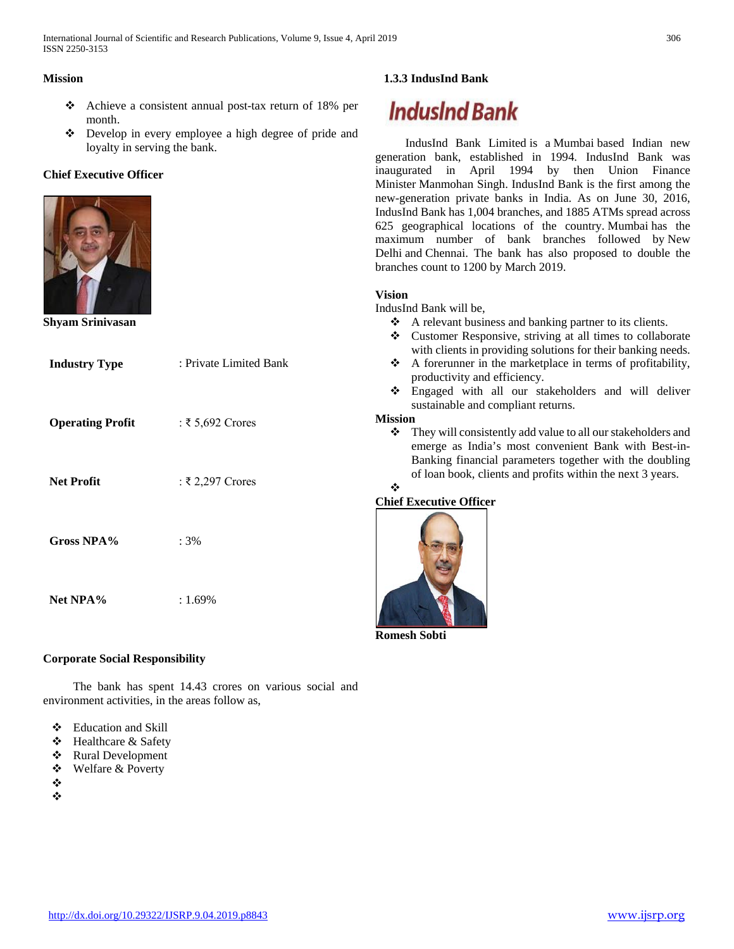#### **Mission**

- Achieve a consistent annual post-tax return of 18% per month.
- Develop in every employee a high degree of pride and loyalty in serving the bank.

# **Chief Executive Officer**



**Shyam Srinivasan**

| <b>Industry Type</b>    | : Private Limited Bank |
|-------------------------|------------------------|
| <b>Operating Profit</b> | : ₹5,692 Crores        |
| <b>Net Profit</b>       | : ₹2,297 Crores        |
| Gross NPA%              | $:3\%$                 |
| Net NPA%                | $: 1.69\%$             |

# **Corporate Social Responsibility**

 The bank has spent 14.43 crores on various social and environment activities, in the areas follow as,

- Education and Skill
- Healthcare & Safety
- ❖ Rural Development
- Welfare & Poverty
- ❖
- ❖

# **1.3.3 IndusInd Bank**

# **IndusInd Bank**

 IndusInd Bank Limited is a Mumbai based Indian new generation bank, established in 1994. IndusInd Bank was inaugurated in April 1994 by then Union Finance Minister Manmohan Singh. IndusInd Bank is the first among the new-generation private banks in India. As on June 30, 2016, IndusInd Bank has 1,004 branches, and 1885 ATMs spread across 625 geographical locations of the country. Mumbai has the maximum number of bank branches followed by New Delhi and Chennai. The bank has also proposed to double the branches count to 1200 by March 2019.

# **Vision**

IndusInd Bank will be,

- A relevant business and banking partner to its clients.
- Customer Responsive, striving at all times to collaborate with clients in providing solutions for their banking needs.
- $\triangle$  A forerunner in the marketplace in terms of profitability, productivity and efficiency.
- Engaged with all our stakeholders and will deliver sustainable and compliant returns.

#### **Mission**

❖ They will consistently add value to all our stakeholders and emerge as India's most convenient Bank with Best-in-Banking financial parameters together with the doubling of loan book, clients and profits within the next 3 years.

# $\mathbf{r}^{\star}_{\mathbf{r}^{\star}}$

# **Chief Executive Officer**



**Romesh Sobti**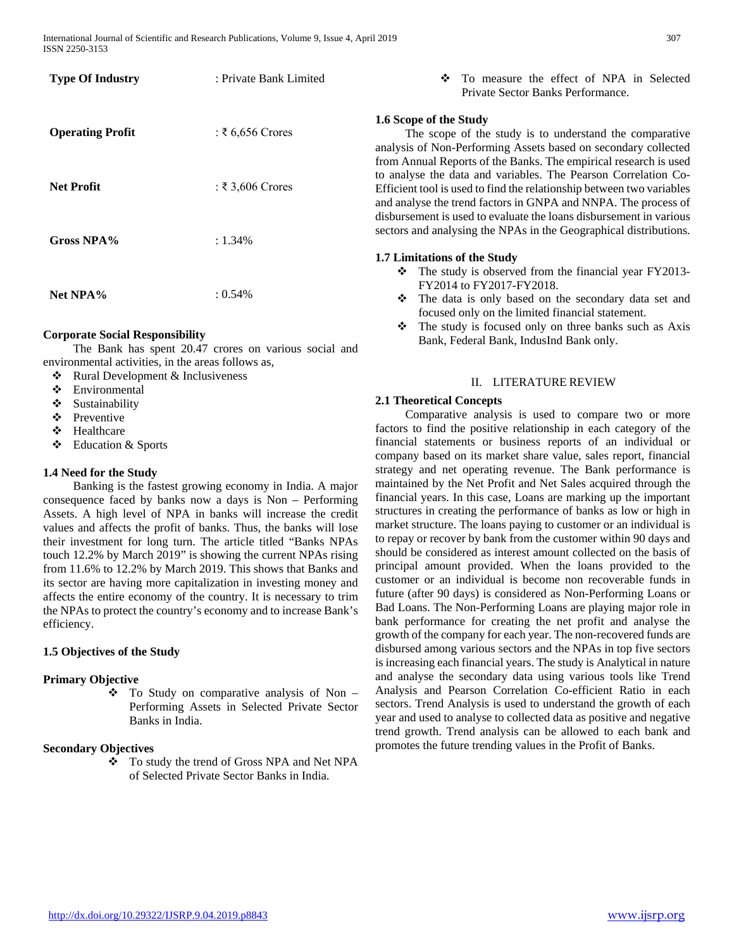| <b>Type Of Industry</b> | : Private Bank Limited |
|-------------------------|------------------------|
| <b>Operating Profit</b> | $: \xi$ 6,656 Crores   |
| <b>Net Profit</b>       | : ₹3,606 Crores        |
| <b>Gross NPA%</b>       | $: 1.34\%$             |
| Net NPA%                | $: 0.54\%$             |

#### **Corporate Social Responsibility**

 The Bank has spent 20.47 crores on various social and environmental activities, in the areas follows as,

- Rural Development & Inclusiveness
- Environmental
- ❖ Sustainability
- Preventive
- Healthcare
- Education & Sports

#### **1.4 Need for the Study**

 Banking is the fastest growing economy in India. A major consequence faced by banks now a days is Non – Performing Assets. A high level of NPA in banks will increase the credit values and affects the profit of banks. Thus, the banks will lose their investment for long turn. The article titled "Banks NPAs touch 12.2% by March 2019" is showing the current NPAs rising from 11.6% to 12.2% by March 2019. This shows that Banks and its sector are having more capitalization in investing money and affects the entire economy of the country. It is necessary to trim the NPAs to protect the country's economy and to increase Bank's efficiency.

#### **1.5 Objectives of the Study**

#### **Primary Objective**

 $\div$  To Study on comparative analysis of Non – Performing Assets in Selected Private Sector Banks in India.

#### **Secondary Objectives**

 To study the trend of Gross NPA and Net NPA of Selected Private Sector Banks in India.

 To measure the effect of NPA in Selected Private Sector Banks Performance.

#### **1.6 Scope of the Study**

 The scope of the study is to understand the comparative analysis of Non-Performing Assets based on secondary collected from Annual Reports of the Banks. The empirical research is used to analyse the data and variables. The Pearson Correlation Co-Efficient tool is used to find the relationship between two variables and analyse the trend factors in GNPA and NNPA. The process of disbursement is used to evaluate the loans disbursement in various sectors and analysing the NPAs in the Geographical distributions.

#### **1.7 Limitations of the Study**

- \* The study is observed from the financial year FY2013-FY2014 to FY2017-FY2018.
- The data is only based on the secondary data set and focused only on the limited financial statement.
- The study is focused only on three banks such as Axis Bank, Federal Bank, IndusInd Bank only.

#### II. LITERATURE REVIEW

#### **2.1 Theoretical Concepts**

 Comparative analysis is used to compare two or more factors to find the positive relationship in each category of the financial statements or business reports of an individual or company based on its market share value, sales report, financial strategy and net operating revenue. The Bank performance is maintained by the Net Profit and Net Sales acquired through the financial years. In this case, Loans are marking up the important structures in creating the performance of banks as low or high in market structure. The loans paying to customer or an individual is to repay or recover by bank from the customer within 90 days and should be considered as interest amount collected on the basis of principal amount provided. When the loans provided to the customer or an individual is become non recoverable funds in future (after 90 days) is considered as Non-Performing Loans or Bad Loans. The Non-Performing Loans are playing major role in bank performance for creating the net profit and analyse the growth of the company for each year. The non-recovered funds are disbursed among various sectors and the NPAs in top five sectors is increasing each financial years. The study is Analytical in nature and analyse the secondary data using various tools like Trend Analysis and Pearson Correlation Co-efficient Ratio in each sectors. Trend Analysis is used to understand the growth of each year and used to analyse to collected data as positive and negative trend growth. Trend analysis can be allowed to each bank and promotes the future trending values in the Profit of Banks.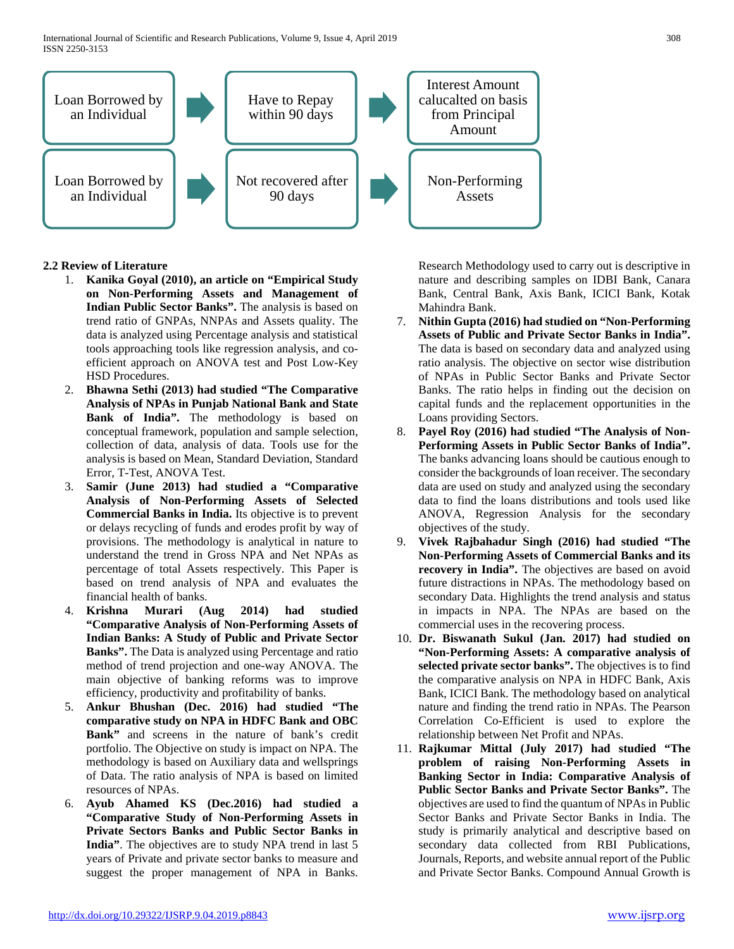International Journal of Scientific and Research Publications, Volume 9, Issue 4, April 2019 308 ISSN 2250-3153



#### **2.2 Review of Literature**

- 1. **Kanika Goyal (2010), an article on "Empirical Study on Non-Performing Assets and Management of Indian Public Sector Banks".** The analysis is based on trend ratio of GNPAs, NNPAs and Assets quality. The data is analyzed using Percentage analysis and statistical tools approaching tools like regression analysis, and coefficient approach on ANOVA test and Post Low-Key HSD Procedures.
- 2. **Bhawna Sethi (2013) had studied "The Comparative Analysis of NPAs in Punjab National Bank and State Bank of India".** The methodology is based on conceptual framework, population and sample selection, collection of data, analysis of data. Tools use for the analysis is based on Mean, Standard Deviation, Standard Error, T-Test, ANOVA Test.
- 3. **Samir (June 2013) had studied a "Comparative Analysis of Non-Performing Assets of Selected Commercial Banks in India.** Its objective is to prevent or delays recycling of funds and erodes profit by way of provisions. The methodology is analytical in nature to understand the trend in Gross NPA and Net NPAs as percentage of total Assets respectively. This Paper is based on trend analysis of NPA and evaluates the financial health of banks.
- 4. **Krishna Murari (Aug 2014) had studied "Comparative Analysis of Non-Performing Assets of Indian Banks: A Study of Public and Private Sector Banks".** The Data is analyzed using Percentage and ratio method of trend projection and one-way ANOVA. The main objective of banking reforms was to improve efficiency, productivity and profitability of banks.
- 5. **Ankur Bhushan (Dec. 2016) had studied "The comparative study on NPA in HDFC Bank and OBC Bank"** and screens in the nature of bank's credit portfolio. The Objective on study is impact on NPA. The methodology is based on Auxiliary data and wellsprings of Data. The ratio analysis of NPA is based on limited resources of NPAs.
- 6. **Ayub Ahamed KS (Dec.2016) had studied a "Comparative Study of Non-Performing Assets in Private Sectors Banks and Public Sector Banks in India"**. The objectives are to study NPA trend in last 5 years of Private and private sector banks to measure and suggest the proper management of NPA in Banks.

Research Methodology used to carry out is descriptive in nature and describing samples on IDBI Bank, Canara Bank, Central Bank, Axis Bank, ICICI Bank, Kotak Mahindra Bank.

- 7. **Nithin Gupta (2016) had studied on "Non-Performing Assets of Public and Private Sector Banks in India".**  The data is based on secondary data and analyzed using ratio analysis. The objective on sector wise distribution of NPAs in Public Sector Banks and Private Sector Banks. The ratio helps in finding out the decision on capital funds and the replacement opportunities in the Loans providing Sectors.
- 8. **Payel Roy (2016) had studied "The Analysis of Non-Performing Assets in Public Sector Banks of India".**  The banks advancing loans should be cautious enough to consider the backgrounds of loan receiver. The secondary data are used on study and analyzed using the secondary data to find the loans distributions and tools used like ANOVA, Regression Analysis for the secondary objectives of the study.
- 9. **Vivek Rajbahadur Singh (2016) had studied "The Non-Performing Assets of Commercial Banks and its recovery in India".** The objectives are based on avoid future distractions in NPAs. The methodology based on secondary Data. Highlights the trend analysis and status in impacts in NPA. The NPAs are based on the commercial uses in the recovering process.
- 10. **Dr. Biswanath Sukul (Jan. 2017) had studied on "Non-Performing Assets: A comparative analysis of selected private sector banks".** The objectives is to find the comparative analysis on NPA in HDFC Bank, Axis Bank, ICICI Bank. The methodology based on analytical nature and finding the trend ratio in NPAs. The Pearson Correlation Co-Efficient is used to explore the relationship between Net Profit and NPAs.
- 11. **Rajkumar Mittal (July 2017) had studied "The problem of raising Non-Performing Assets in Banking Sector in India: Comparative Analysis of Public Sector Banks and Private Sector Banks".** The objectives are used to find the quantum of NPAs in Public Sector Banks and Private Sector Banks in India. The study is primarily analytical and descriptive based on secondary data collected from RBI Publications, Journals, Reports, and website annual report of the Public and Private Sector Banks. Compound Annual Growth is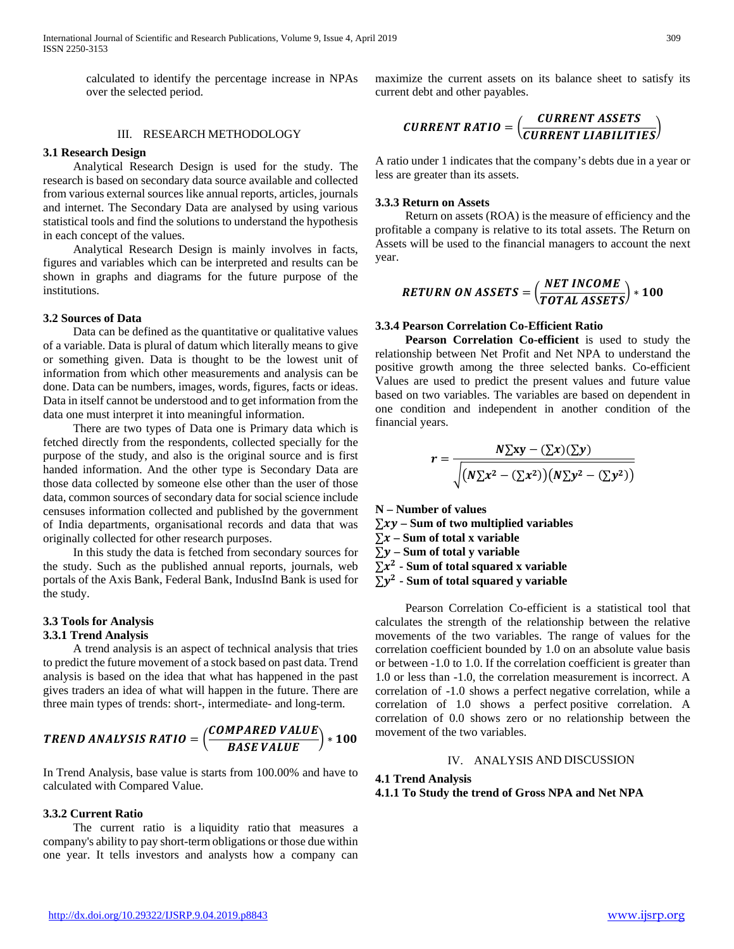calculated to identify the percentage increase in NPAs over the selected period.

#### III. RESEARCH METHODOLOGY

#### **3.1 Research Design**

 Analytical Research Design is used for the study. The research is based on secondary data source available and collected from various external sources like annual reports, articles, journals and internet. The Secondary Data are analysed by using various statistical tools and find the solutions to understand the hypothesis in each concept of the values.

 Analytical Research Design is mainly involves in facts, figures and variables which can be interpreted and results can be shown in graphs and diagrams for the future purpose of the institutions.

#### **3.2 Sources of Data**

 Data can be defined as the quantitative or qualitative values of a variable. Data is plural of datum which literally means to give or something given. Data is thought to be the lowest unit of information from which other measurements and analysis can be done. Data can be numbers, images, words, figures, facts or ideas. Data in itself cannot be understood and to get information from the data one must interpret it into meaningful information.

 There are two types of Data one is Primary data which is fetched directly from the respondents, collected specially for the purpose of the study, and also is the original source and is first handed information. And the other type is Secondary Data are those data collected by someone else other than the user of those data, common sources of secondary data for social science include censuses information collected and published by the government of India departments, organisational records and data that was originally collected for other research purposes.

 In this study the data is fetched from secondary sources for the study. Such as the published annual reports, journals, web portals of the Axis Bank, Federal Bank, IndusInd Bank is used for the study.

# **3.3 Tools for Analysis**

#### **3.3.1 Trend Analysis**

 A trend analysis is an aspect of technical analysis that tries to predict the future movement of a stock based on past data. Trend analysis is based on the idea that what has happened in the past gives traders an idea of what will happen in the future. There are three main types of trends: short-, intermediate- and long-term.

**TERD ANALYSIS RATIO** = 
$$
\left(\frac{COMPARED VALUE}{BASE VALUE}\right) * 100
$$

In Trend Analysis, base value is starts from 100.00% and have to calculated with Compared Value.

#### **3.3.2 Current Ratio**

 The current ratio is a liquidity ratio that measures a company's ability to pay short-term obligations or those due within one year. It tells investors and analysts how a company can maximize the current assets on its balance sheet to satisfy its current debt and other payables.

$$
\text{CURRENT RATIO} = \left(\frac{\text{CURRENT ASSETS}}{\text{CURRENT LIABILITY}}\right)
$$

A ratio under 1 indicates that the company's debts due in a year or less are greater than its assets.

#### **3.3.3 Return on Assets**

 Return on assets (ROA) is the measure of efficiency and the profitable a company is relative to its total assets. The Return on Assets will be used to the financial managers to account the next year.

$$
RETURN ON ASSETS = \left(\frac{NET INCOME}{TOTAL ASSETS}\right) * 100
$$

#### **3.3.4 Pearson Correlation Co-Efficient Ratio**

 **Pearson Correlation Co-efficient** is used to study the relationship between Net Profit and Net NPA to understand the positive growth among the three selected banks. Co-efficient Values are used to predict the present values and future value based on two variables. The variables are based on dependent in one condition and independent in another condition of the financial years.

$$
r = \frac{N\Sigma xy - (\Sigma x)(\Sigma y)}{\sqrt{(N\Sigma x^2 - (\Sigma x^2))(N\Sigma y^2 - (\Sigma y^2))}}
$$

**N – Number of values** ∑ **– Sum of two multiplied variables** ∑ **– Sum of total x variable** ∑ **– Sum of total y variable**  $\Sigma x^2$  - Sum of total squared x variable  $\sum y^2$  - Sum of total squared y variable

 Pearson Correlation Co-efficient is a statistical tool that calculates the strength of the relationship between the relative movements of the two variables. The range of values for the correlation coefficient bounded by 1.0 on an absolute value basis or between -1.0 to 1.0. If the correlation coefficient is greater than 1.0 or less than -1.0, the correlation measurement is incorrect. A correlation of -1.0 shows a perfect negative correlation, while a correlation of 1.0 shows a perfect positive correlation. A correlation of 0.0 shows zero or no relationship between the movement of the two variables.

#### IV. ANALYSIS AND DISCUSSION

# **4.1 Trend Analysis 4.1.1 To Study the trend of Gross NPA and Net NPA**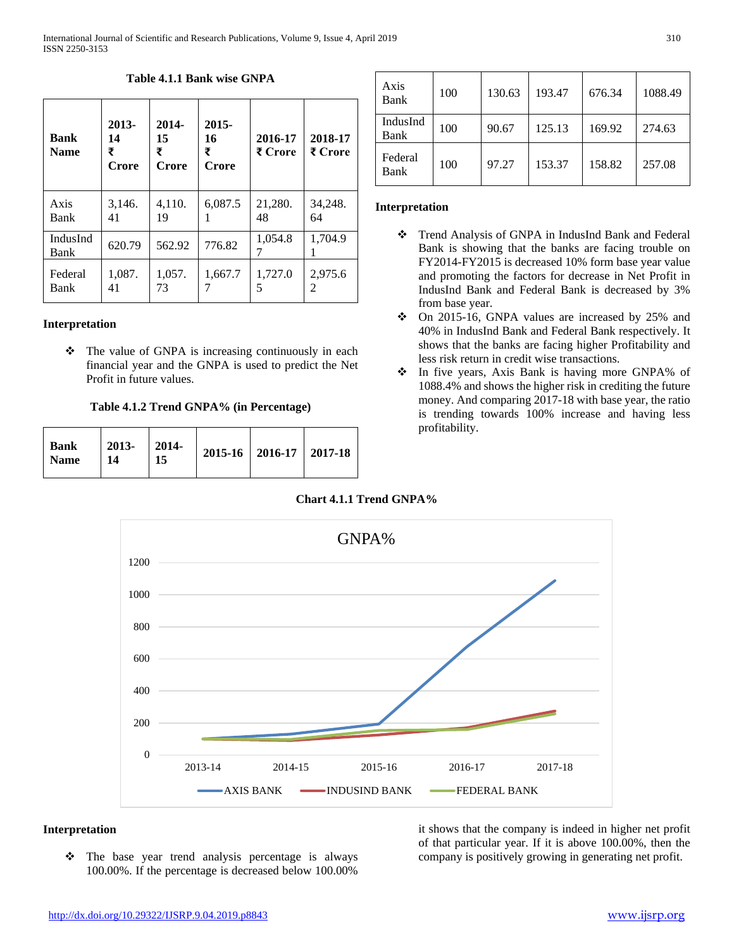**Bank Name 2013- 14 ₹ Crore 2014- 15 ₹ Crore 2015- 16 ₹ Crore 2016-17 ₹ Crore 2018-17 ₹ Crore** Axis Bank 3,146. 41 4,110. 19 6,087.5 1 21,280. 48 34,248. 64 IndusInd  $\begin{array}{|c|c|c|c|c|c|}\n \hline \text{Bank} & 620.79 & 562.92 & 776.82 & 7 \\
 \hline \end{array}$ 7 1,704.9 1 Federal Bank 1,087. 41 1,057. 73 1,667.7 7 1,727.0 5 2,975.6 2

### **Table 4.1.1 Bank wise GNPA**

#### **Interpretation**

 $\triangle$  The value of GNPA is increasing continuously in each financial year and the GNPA is used to predict the Net Profit in future values.

#### **Table 4.1.2 Trend GNPA% (in Percentage)**

| $2013 - 2014$<br>  Bank<br>  Name<br>15<br>-14 |  | 2015-16   2016-17   2017-18 |  |
|------------------------------------------------|--|-----------------------------|--|
|------------------------------------------------|--|-----------------------------|--|

| Axis<br>Bank     | 100 | 130.63 | 193.47 | 676.34 | 1088.49 |
|------------------|-----|--------|--------|--------|---------|
| IndusInd<br>Bank | 100 | 90.67  | 125.13 | 169.92 | 274.63  |
| Federal<br>Bank  | 100 | 97.27  | 153.37 | 158.82 | 257.08  |

#### **Interpretation**

- Trend Analysis of GNPA in IndusInd Bank and Federal Bank is showing that the banks are facing trouble on FY2014-FY2015 is decreased 10% form base year value and promoting the factors for decrease in Net Profit in IndusInd Bank and Federal Bank is decreased by 3% from base year.
- On 2015-16, GNPA values are increased by 25% and 40% in IndusInd Bank and Federal Bank respectively. It shows that the banks are facing higher Profitability and less risk return in credit wise transactions.
- In five years, Axis Bank is having more GNPA% of 1088.4% and shows the higher risk in crediting the future money. And comparing 2017-18 with base year, the ratio is trending towards 100% increase and having less profitability.

# **Chart 4.1.1 Trend GNPA%**



### **Interpretation**

• The base year trend analysis percentage is always 100.00%. If the percentage is decreased below 100.00%

it shows that the company is indeed in higher net profit of that particular year. If it is above 100.00%, then the company is positively growing in generating net profit.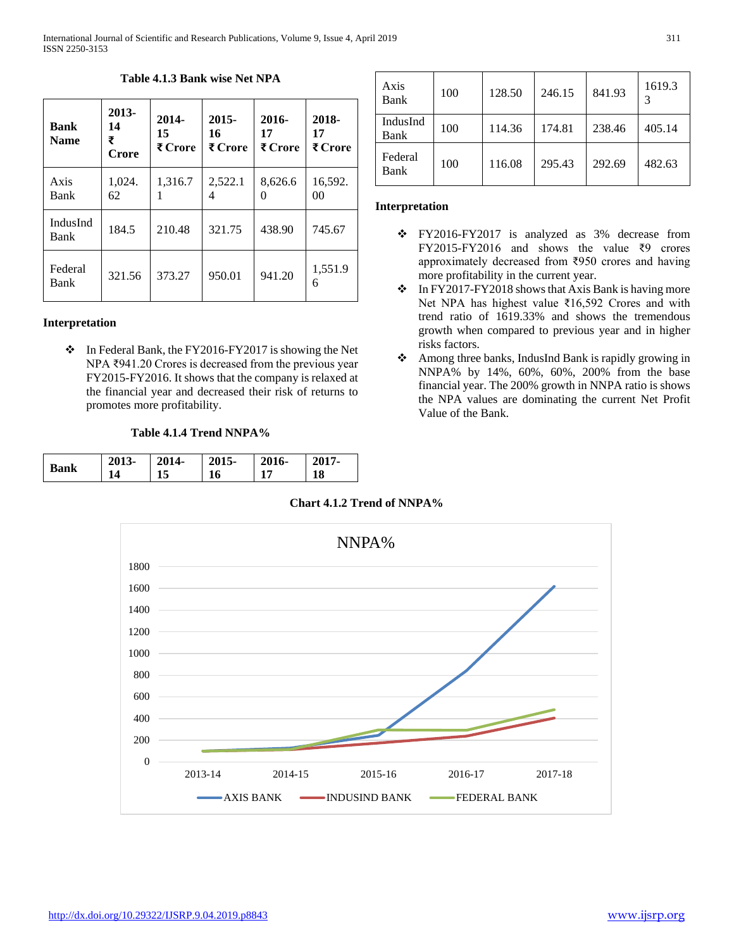| <b>Bank</b><br><b>Name</b> | 2013-<br>14<br>₹<br>Crore | 2014-<br>15<br>₹ Crore | $2015 -$<br>16<br>₹ Crore | $2016-$<br>17<br>₹ Crore | 2018-<br>17<br>₹ Crore |
|----------------------------|---------------------------|------------------------|---------------------------|--------------------------|------------------------|
| Axis<br>Bank               | 1,024.<br>62              | 1,316.7                | 2,522.1<br>4              | 8,626.6<br>$\mathcal{O}$ | 16,592.<br>00          |
| IndusInd<br>Bank           | 184.5                     | 210.48                 | 321.75                    | 438.90                   | 745.67                 |
| Federal<br>Bank            | 321.56                    | 373.27                 | 950.01                    | 941.20                   | 1,551.9<br>6           |

#### **Table 4.1.3 Bank wise Net NPA**

#### **Interpretation**

• In Federal Bank, the FY2016-FY2017 is showing the Net NPA ₹941.20 Crores is decreased from the previous year FY2015-FY2016. It shows that the company is relaxed at the financial year and decreased their risk of returns to promotes more profitability.

#### **Table 4.1.4 Trend NNPA%**

| <b>Bank</b> | 2013-          | 2014- | 2015- | $2016-$        | 2017- |
|-------------|----------------|-------|-------|----------------|-------|
|             | 1 <sub>1</sub> |       | 16    | 1 <sub>7</sub> | 18    |

| Axis<br>Bank     | 100 | 128.50 | 246.15 | 841.93 | 1619.3 |
|------------------|-----|--------|--------|--------|--------|
| IndusInd<br>Bank | 100 | 114.36 | 174.81 | 238.46 | 405.14 |
| Federal<br>Bank  | 100 | 116.08 | 295.43 | 292.69 | 482.63 |

#### **Interpretation**

- FY2016-FY2017 is analyzed as 3% decrease from FY2015-FY2016 and shows the value ₹9 crores approximately decreased from ₹950 crores and having more profitability in the current year.
- $\cdot \cdot$  In FY2017-FY2018 shows that Axis Bank is having more Net NPA has highest value ₹16,592 Crores and with trend ratio of 1619.33% and shows the tremendous growth when compared to previous year and in higher risks factors.
- Among three banks, IndusInd Bank is rapidly growing in NNPA% by 14%, 60%, 60%, 200% from the base financial year. The 200% growth in NNPA ratio is shows the NPA values are dominating the current Net Profit Value of the Bank.



**Chart 4.1.2 Trend of NNPA%**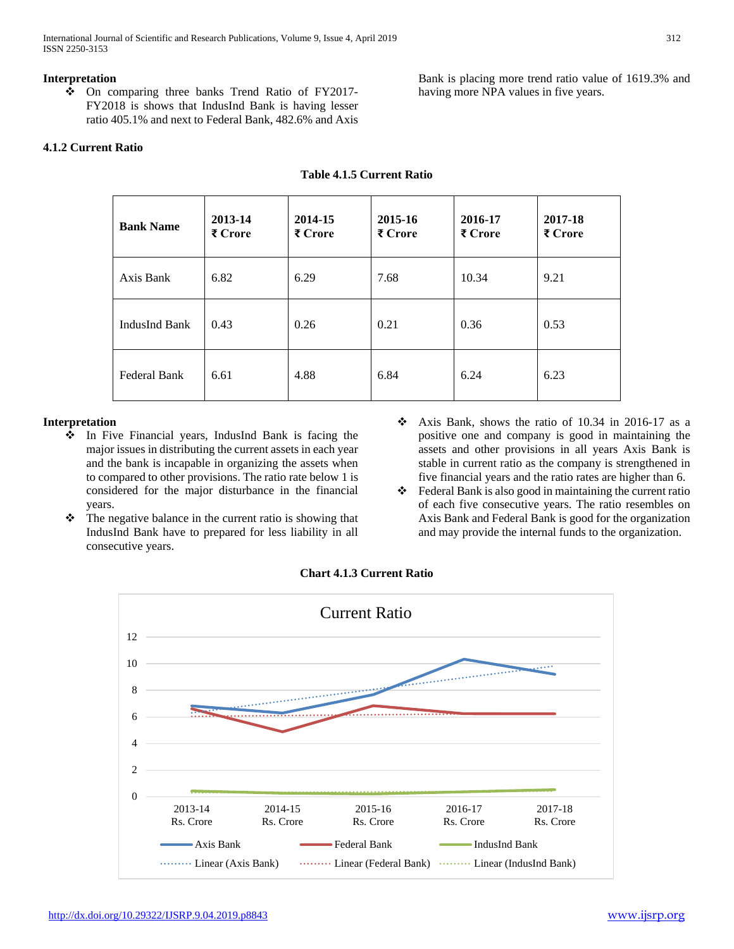International Journal of Scientific and Research Publications, Volume 9, Issue 4, April 2019 312 ISSN 2250-3153

#### **Interpretation**

 On comparing three banks Trend Ratio of FY2017- FY2018 is shows that IndusInd Bank is having lesser ratio 405.1% and next to Federal Bank, 482.6% and Axis

### **4.1.2 Current Ratio**

Bank is placing more trend ratio value of 1619.3% and having more NPA values in five years.

| <b>Bank Name</b> | 2013-14<br>₹ Crore | 2014-15<br>₹ Crore | 2015-16<br>₹ Crore | 2016-17<br>₹ Crore | 2017-18<br>₹ Crore |
|------------------|--------------------|--------------------|--------------------|--------------------|--------------------|
| Axis Bank        | 6.82               | 6.29               | 7.68               | 10.34              | 9.21               |
| IndusInd Bank    | 0.43               | 0.26               | 0.21               | 0.36               | 0.53               |
| Federal Bank     | 6.61               | 4.88               | 6.84               | 6.24               | 6.23               |

#### **Table 4.1.5 Current Ratio**

#### **Interpretation**

- $\cdot \cdot$  In Five Financial years, IndusInd Bank is facing the major issues in distributing the current assets in each year and the bank is incapable in organizing the assets when to compared to other provisions. The ratio rate below 1 is considered for the major disturbance in the financial years.
- $\triangle$  The negative balance in the current ratio is showing that IndusInd Bank have to prepared for less liability in all consecutive years.
- $\div$  Axis Bank, shows the ratio of 10.34 in 2016-17 as a positive one and company is good in maintaining the assets and other provisions in all years Axis Bank is stable in current ratio as the company is strengthened in five financial years and the ratio rates are higher than 6.
- Federal Bank is also good in maintaining the current ratio of each five consecutive years. The ratio resembles on Axis Bank and Federal Bank is good for the organization and may provide the internal funds to the organization.



# **Chart 4.1.3 Current Ratio**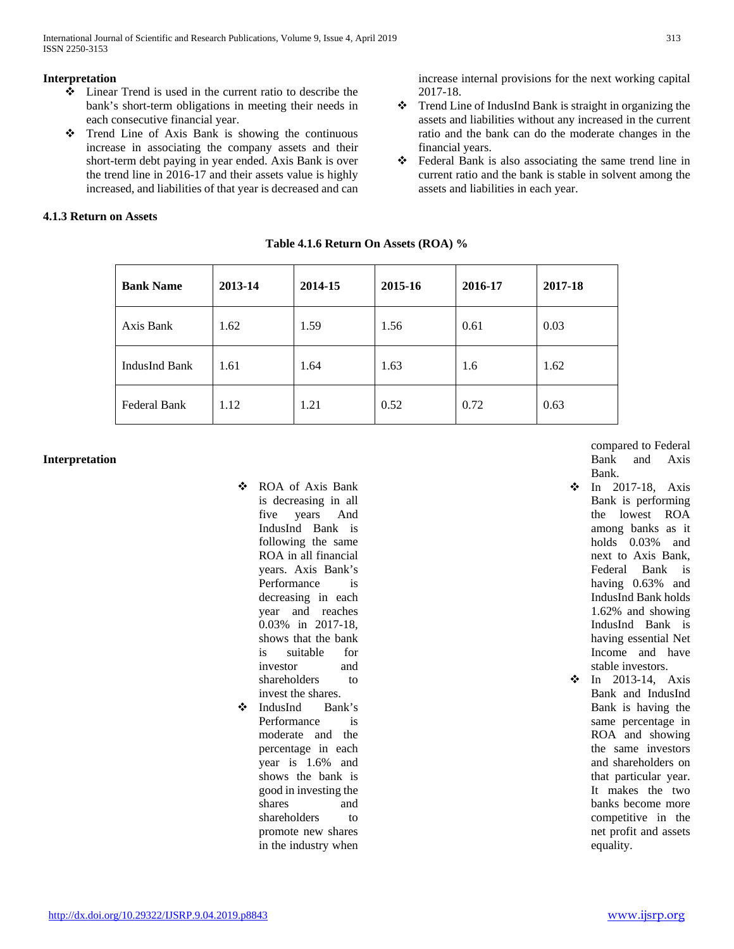International Journal of Scientific and Research Publications, Volume 9, Issue 4, April 2019 313 ISSN 2250-3153

#### **Interpretation**

- Linear Trend is used in the current ratio to describe the bank's short-term obligations in meeting their needs in each consecutive financial year.
- Trend Line of Axis Bank is showing the continuous increase in associating the company assets and their short-term debt paying in year ended. Axis Bank is over the trend line in 2016-17 and their assets value is highly increased, and liabilities of that year is decreased and can

# **4.1.3 Return on Assets**

increase internal provisions for the next working capital 2017-18.

- Trend Line of IndusInd Bank is straight in organizing the assets and liabilities without any increased in the current ratio and the bank can do the moderate changes in the financial years.
- Federal Bank is also associating the same trend line in current ratio and the bank is stable in solvent among the assets and liabilities in each year.

| <b>Bank Name</b>    | 2013-14 | 2014-15 | 2015-16 | 2016-17 | 2017-18 |
|---------------------|---------|---------|---------|---------|---------|
| Axis Bank           | 1.62    | 1.59    | 1.56    | 0.61    | 0.03    |
| IndusInd Bank       | 1.61    | 1.64    | 1.63    | 1.6     | 1.62    |
| <b>Federal Bank</b> | 1.12    | 1.21    | 0.52    | 0.72    | 0.63    |

**Table 4.1.6 Return On Assets (ROA) %**

#### **Interpretation**

- ROA of Axis Bank is decreasing in all five years And IndusInd Bank is following the same ROA in all financial years. Axis Bank's Performance is decreasing in each year and reaches 0.03% in 2017-18, shows that the bank is suitable for investor and shareholders to invest the shares.
- IndusInd Bank's Performance is moderate and the percentage in each year is 1.6% and shows the bank is good in investing the shares and shareholders to promote new shares in the industry when

compared to Federal Bank and Axis Bank.

- **\*** In 2017-18, Axis Bank is performing the lowest ROA among banks as it holds 0.03% and next to Axis Bank, Federal Bank is having 0.63% and IndusInd Bank holds 1.62% and showing IndusInd Bank is having essential Net Income and have stable investors.
- $\div$  In 2013-14, Axis Bank and IndusInd Bank is having the same percentage in ROA and showing the same investors and shareholders on that particular year. It makes the two banks become more competitive in the net profit and assets equality.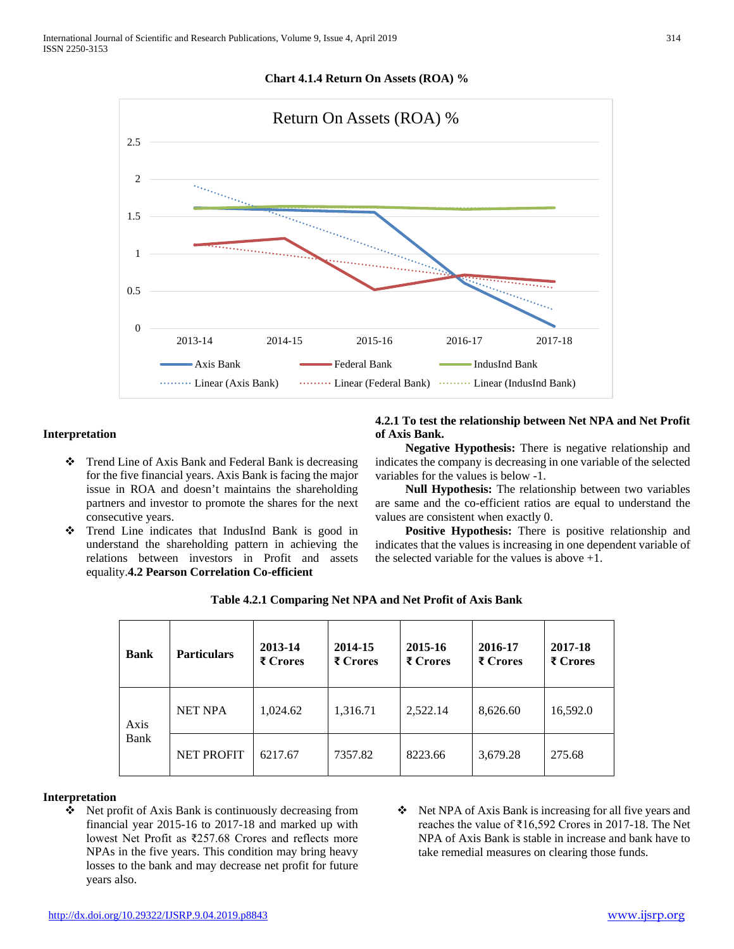#### **Chart 4.1.4 Return On Assets (ROA) %**



#### **Interpretation**

- Trend Line of Axis Bank and Federal Bank is decreasing for the five financial years. Axis Bank is facing the major issue in ROA and doesn't maintains the shareholding partners and investor to promote the shares for the next consecutive years.
- Trend Line indicates that IndusInd Bank is good in understand the shareholding pattern in achieving the relations between investors in Profit and assets equality.**4.2 Pearson Correlation Co-efficient**

**4.2.1 To test the relationship between Net NPA and Net Profit of Axis Bank.** 

 **Negative Hypothesis:** There is negative relationship and indicates the company is decreasing in one variable of the selected variables for the values is below -1.

 **Null Hypothesis:** The relationship between two variables are same and the co-efficient ratios are equal to understand the values are consistent when exactly 0.

 **Positive Hypothesis:** There is positive relationship and indicates that the values is increasing in one dependent variable of the selected variable for the values is above  $+1$ .

| <b>Bank</b> | <b>Particulars</b> | 2013-14<br>₹ Crores | 2014-15<br>₹ Crores | 2015-16<br>₹ Crores | 2016-17<br>₹ Crores | 2017-18<br>₹ Crores |
|-------------|--------------------|---------------------|---------------------|---------------------|---------------------|---------------------|
| Axis        | <b>NET NPA</b>     | 1,024.62            | 1,316.71            | 2,522.14            | 8,626.60            | 16,592.0            |
| Bank        | <b>NET PROFIT</b>  | 6217.67             | 7357.82             | 8223.66             | 3,679.28            | 275.68              |

|  | Table 4.2.1 Comparing Net NPA and Net Profit of Axis Bank |  |  |  |  |
|--|-----------------------------------------------------------|--|--|--|--|
|--|-----------------------------------------------------------|--|--|--|--|

#### **Interpretation**

- Net profit of Axis Bank is continuously decreasing from financial year 2015-16 to 2017-18 and marked up with lowest Net Profit as ₹257.68 Crores and reflects more NPAs in the five years. This condition may bring heavy losses to the bank and may decrease net profit for future years also.
- ◆ Net NPA of Axis Bank is increasing for all five years and reaches the value of ₹16,592 Crores in 2017-18. The Net NPA of Axis Bank is stable in increase and bank have to take remedial measures on clearing those funds.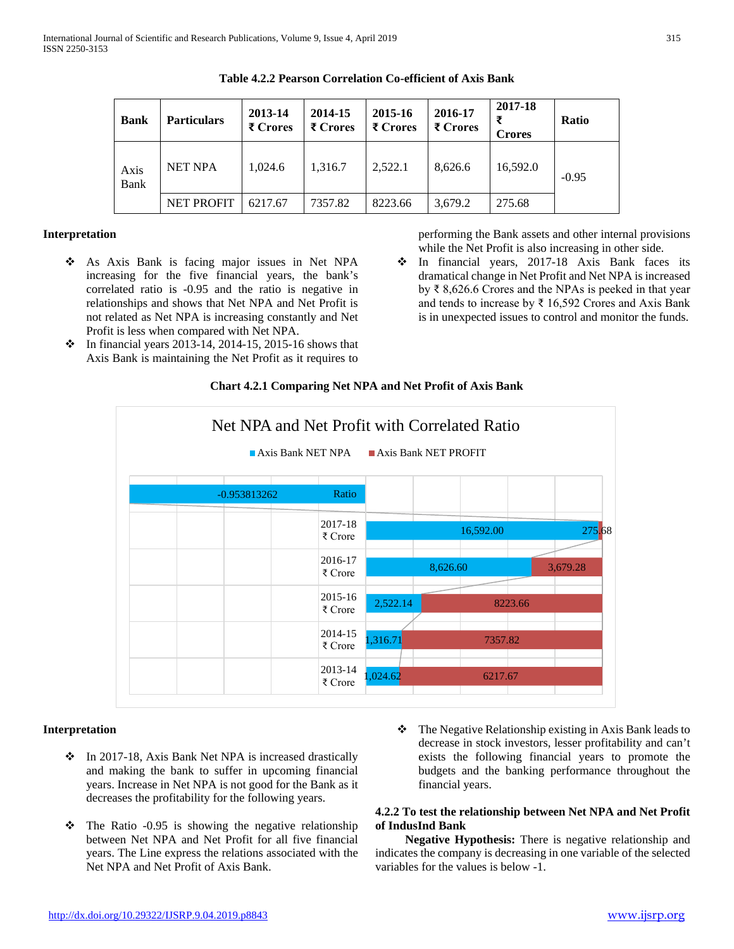| <b>Bank</b>  | <b>Particulars</b> | 2013-14<br>₹ Crores | 2014-15<br>₹ Crores | 2015-16<br>₹ Crores | 2016-17<br>₹ Crores | 2017-18<br>₹<br><b>Crores</b> | <b>Ratio</b> |
|--------------|--------------------|---------------------|---------------------|---------------------|---------------------|-------------------------------|--------------|
| Axis<br>Bank | <b>NET NPA</b>     | 1.024.6             | 1.316.7             | 2,522.1             | 8,626.6             | 16.592.0                      | $-0.95$      |
|              | <b>NET PROFIT</b>  | 6217.67             | 7357.82             | 8223.66             | 3.679.2             | 275.68                        |              |

**Table 4.2.2 Pearson Correlation Co-efficient of Axis Bank**

#### **Interpretation**

- As Axis Bank is facing major issues in Net NPA increasing for the five financial years, the bank's correlated ratio is -0.95 and the ratio is negative in relationships and shows that Net NPA and Net Profit is not related as Net NPA is increasing constantly and Net Profit is less when compared with Net NPA.
- performing the Bank assets and other internal provisions while the Net Profit is also increasing in other side.
- In financial years, 2017-18 Axis Bank faces its dramatical change in Net Profit and Net NPA is increased by ₹ 8,626.6 Crores and the NPAs is peeked in that year and tends to increase by ₹ 16,592 Crores and Axis Bank is in unexpected issues to control and monitor the funds.
- $\cdot \cdot$  In financial years 2013-14, 2014-15, 2015-16 shows that Axis Bank is maintaining the Net Profit as it requires to



# **Chart 4.2.1 Comparing Net NPA and Net Profit of Axis Bank**

#### **Interpretation**

- $\cdot$  In 2017-18, Axis Bank Net NPA is increased drastically and making the bank to suffer in upcoming financial years. Increase in Net NPA is not good for the Bank as it decreases the profitability for the following years.
- $\div$  The Ratio -0.95 is showing the negative relationship between Net NPA and Net Profit for all five financial years. The Line express the relations associated with the Net NPA and Net Profit of Axis Bank.
- The Negative Relationship existing in Axis Bank leads to decrease in stock investors, lesser profitability and can't exists the following financial years to promote the budgets and the banking performance throughout the financial years.

#### **4.2.2 To test the relationship between Net NPA and Net Profit of IndusInd Bank**

 **Negative Hypothesis:** There is negative relationship and indicates the company is decreasing in one variable of the selected variables for the values is below -1.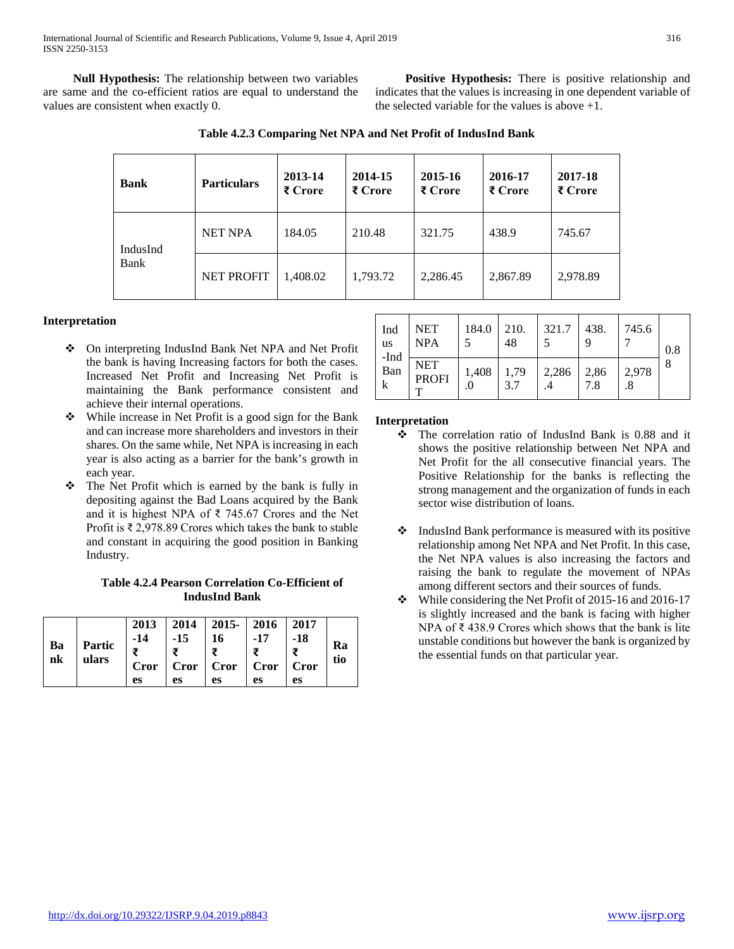**Null Hypothesis:** The relationship between two variables are same and the co-efficient ratios are equal to understand the values are consistent when exactly 0.

 **Positive Hypothesis:** There is positive relationship and indicates that the values is increasing in one dependent variable of the selected variable for the values is above +1.

| Table 4.2.3 Comparing Net NPA and Net Profit of IndusInd Bank |  |  |  |
|---------------------------------------------------------------|--|--|--|
|                                                               |  |  |  |

| Bank     | <b>Particulars</b> | 2013-14<br>₹ Crore | 2014-15<br>₹ Crore | 2015-16<br>₹ Crore | 2016-17<br>₹ Crore | 2017-18<br>₹ Crore |
|----------|--------------------|--------------------|--------------------|--------------------|--------------------|--------------------|
| IndusInd | <b>NET NPA</b>     | 184.05             | 210.48             | 321.75             | 438.9              | 745.67             |
| Bank     | <b>NET PROFIT</b>  | 1.408.02           | 1.793.72           | 2,286.45           | 2,867.89           | 2,978.89           |

# **Interpretation**

- On interpreting IndusInd Bank Net NPA and Net Profit the bank is having Increasing factors for both the cases. Increased Net Profit and Increasing Net Profit is maintaining the Bank performance consistent and achieve their internal operations.
- While increase in Net Profit is a good sign for the Bank and can increase more shareholders and investors in their shares. On the same while, Net NPA is increasing in each year is also acting as a barrier for the bank's growth in each year.
- $\div$  The Net Profit which is earned by the bank is fully in depositing against the Bad Loans acquired by the Bank and it is highest NPA of ₹ 745.67 Crores and the Net Profit is ₹ 2,978.89 Crores which takes the bank to stable and constant in acquiring the good position in Banking Industry.

**Table 4.2.4 Pearson Correlation Co-Efficient of IndusInd Bank**

| Ba<br>nk | Partic<br>ulars | $-14$ | $-15$ | $2013$   2014   2015   2016   2017<br>$\vert$ 16<br>$Cror$ $Cror$ $Cror$ $Cror$ $Cror$ | $-17$ | -18 | Ra<br>tio |
|----------|-----------------|-------|-------|----------------------------------------------------------------------------------------|-------|-----|-----------|
|          |                 | es    | es    | es                                                                                     | es    | es  |           |

| Ind<br>us<br>-Ind | <b>NET</b><br><b>NPA</b>   | 184.0 | 210.<br>48  | 321.7 | $\vert$ 438. | 745.6 | 0.8 |
|-------------------|----------------------------|-------|-------------|-------|--------------|-------|-----|
| Ban<br>k          | <b>NET</b><br><b>PROFI</b> | 1,408 | 1,79<br>3.7 | 2,286 | 2,86<br>7.8  | 2,978 | 8   |

# **Interpretation**

- The correlation ratio of IndusInd Bank is 0.88 and it shows the positive relationship between Net NPA and Net Profit for the all consecutive financial years. The Positive Relationship for the banks is reflecting the strong management and the organization of funds in each sector wise distribution of loans.
- $\triangleleft$  IndusInd Bank performance is measured with its positive relationship among Net NPA and Net Profit. In this case, the Net NPA values is also increasing the factors and raising the bank to regulate the movement of NPAs among different sectors and their sources of funds.
- $\cdot \cdot$  While considering the Net Profit of 2015-16 and 2016-17 is slightly increased and the bank is facing with higher NPA of ₹ 438.9 Crores which shows that the bank is lite unstable conditions but however the bank is organized by the essential funds on that particular year.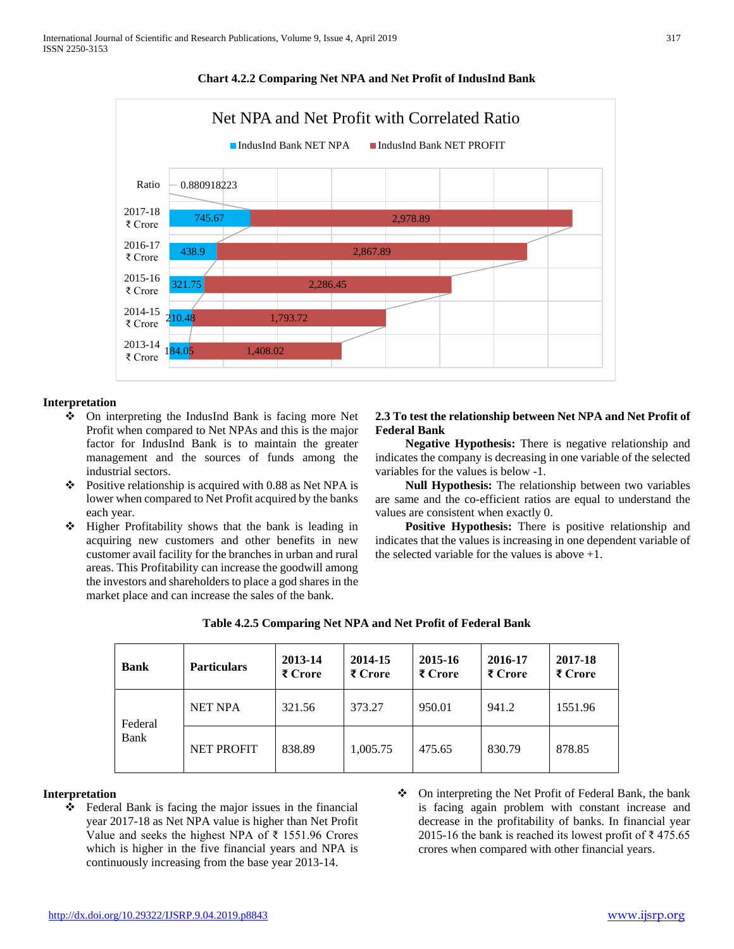

### **Chart 4.2.2 Comparing Net NPA and Net Profit of IndusInd Bank**

### **Interpretation**

- On interpreting the IndusInd Bank is facing more Net Profit when compared to Net NPAs and this is the major factor for IndusInd Bank is to maintain the greater management and the sources of funds among the industrial sectors.
- $\div$  Positive relationship is acquired with 0.88 as Net NPA is lower when compared to Net Profit acquired by the banks each year.
- Higher Profitability shows that the bank is leading in acquiring new customers and other benefits in new customer avail facility for the branches in urban and rural areas. This Profitability can increase the goodwill among the investors and shareholders to place a god shares in the market place and can increase the sales of the bank.

#### **2.3 To test the relationship between Net NPA and Net Profit of Federal Bank**

 **Negative Hypothesis:** There is negative relationship and indicates the company is decreasing in one variable of the selected variables for the values is below -1.

 **Null Hypothesis:** The relationship between two variables are same and the co-efficient ratios are equal to understand the values are consistent when exactly 0.

 **Positive Hypothesis:** There is positive relationship and indicates that the values is increasing in one dependent variable of the selected variable for the values is above  $+1$ .

| <b>Bank</b> | <b>Particulars</b> | 2013-14<br>₹ Crore | 2014-15<br>₹ Crore | 2015-16<br>₹ Crore | 2016-17<br>₹ Crore | 2017-18<br>₹ Crore |
|-------------|--------------------|--------------------|--------------------|--------------------|--------------------|--------------------|
| Federal     | <b>NET NPA</b>     | 321.56             | 373.27             | 950.01             | 941.2              | 1551.96            |
| Bank        | <b>NET PROFIT</b>  | 838.89             | 1,005.75           | 475.65             | 830.79             | 878.85             |

# **Table 4.2.5 Comparing Net NPA and Net Profit of Federal Bank**

#### **Interpretation**

- Federal Bank is facing the major issues in the financial year 2017-18 as Net NPA value is higher than Net Profit Value and seeks the highest NPA of ₹ 1551.96 Crores which is higher in the five financial years and NPA is continuously increasing from the base year 2013-14.
- On interpreting the Net Profit of Federal Bank, the bank is facing again problem with constant increase and decrease in the profitability of banks. In financial year 2015-16 the bank is reached its lowest profit of  $\bar{\tau}$  475.65 crores when compared with other financial years.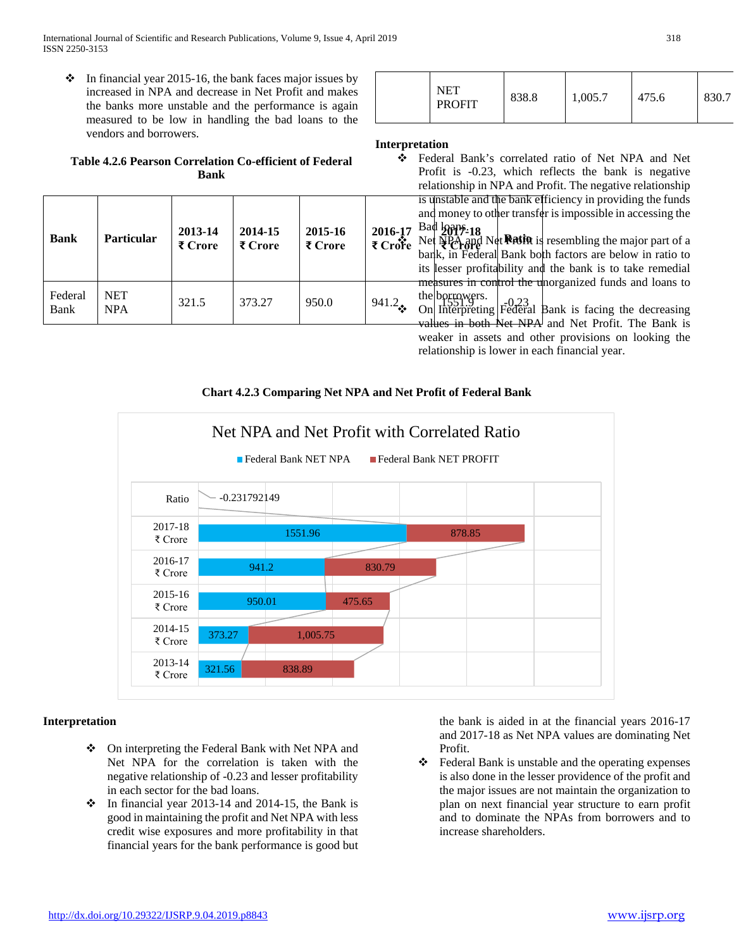International Journal of Scientific and Research Publications, Volume 9, Issue 4, April 2019 318 ISSN 2250-3153

 $\cdot \cdot$  In financial year 2015-16, the bank faces major issues by increased in NPA and decrease in Net Profit and makes the banks more unstable and the performance is again measured to be low in handling the bad loans to the vendors and borrowers.

# **Table 4.2.6 Pearson Correlation Co-efficient of Federal Bank**

| <b>Bank</b>     | <b>Particular</b>        | 2013-14<br>₹ Crore | 2014-15<br>₹ Crore | 2015-16<br>₹ Crore | 2016-17 | is unstable and the bank efficiency in providing the funds<br>and money to other transfer is impossible in accessing the<br>Bad $2047-18$<br>$\overrightarrow{\xi}$ Crote Net $\overrightarrow{\xi}$ Net $\overrightarrow{\xi}$ and Net Ratin is resembling the major part of a<br>bank, in Federal Bank both factors are below in ratio to<br>its lesser profitability and the bank is to take remedial |
|-----------------|--------------------------|--------------------|--------------------|--------------------|---------|----------------------------------------------------------------------------------------------------------------------------------------------------------------------------------------------------------------------------------------------------------------------------------------------------------------------------------------------------------------------------------------------------------|
| Federal<br>Bank | <b>NET</b><br><b>NPA</b> | 321.5              | 373.27             | 950.0              | 941.2   | measures in control the unorganized funds and loans to<br>the borrowers. $\begin{vmatrix} 0.23 \\ 0.23 \end{vmatrix}$<br>On Interpreting Federal Bank is facing the decreasing<br>values in both Net NPA and Net Profit The Bank is                                                                                                                                                                      |

|  | NET<br><b>PROFIT</b> | 838.8 | 1,005.7 | 475.6 | 830.7 |
|--|----------------------|-------|---------|-------|-------|
|--|----------------------|-------|---------|-------|-------|

#### **Interpretation**

- **2016-17 2017-18** Bad loans. **₹ Crore** Net Steel and Net Ration is resembling the major part of a Federal Bank's correlated ratio of Net NPA and Net Profit is -0.23, which reflects the bank is negative relationship in NPA and Profit. The negative relationship is unstable and the bank efficiency in providing the funds and money to other transfer is impossible in accessing the bank, in Federal Bank both factors are below in ratio to its lesser profitability and the bank is to take remedial
	- measures in control the unorganized funds and loans to the borrowers. values in both Net NPA and Net Profit. The Bank is weaker in assets and other provisions on looking the relationship is lower in each financial year.

# **Chart 4.2.3 Comparing Net NPA and Net Profit of Federal Bank**



#### **Interpretation**

- ◆ On interpreting the Federal Bank with Net NPA and Net NPA for the correlation is taken with the negative relationship of -0.23 and lesser profitability in each sector for the bad loans.
- $\cdot \cdot$  In financial year 2013-14 and 2014-15, the Bank is good in maintaining the profit and Net NPA with less credit wise exposures and more profitability in that financial years for the bank performance is good but

the bank is aided in at the financial years 2016-17 and 2017-18 as Net NPA values are dominating Net Profit.

 Federal Bank is unstable and the operating expenses is also done in the lesser providence of the profit and the major issues are not maintain the organization to plan on next financial year structure to earn profit and to dominate the NPAs from borrowers and to increase shareholders.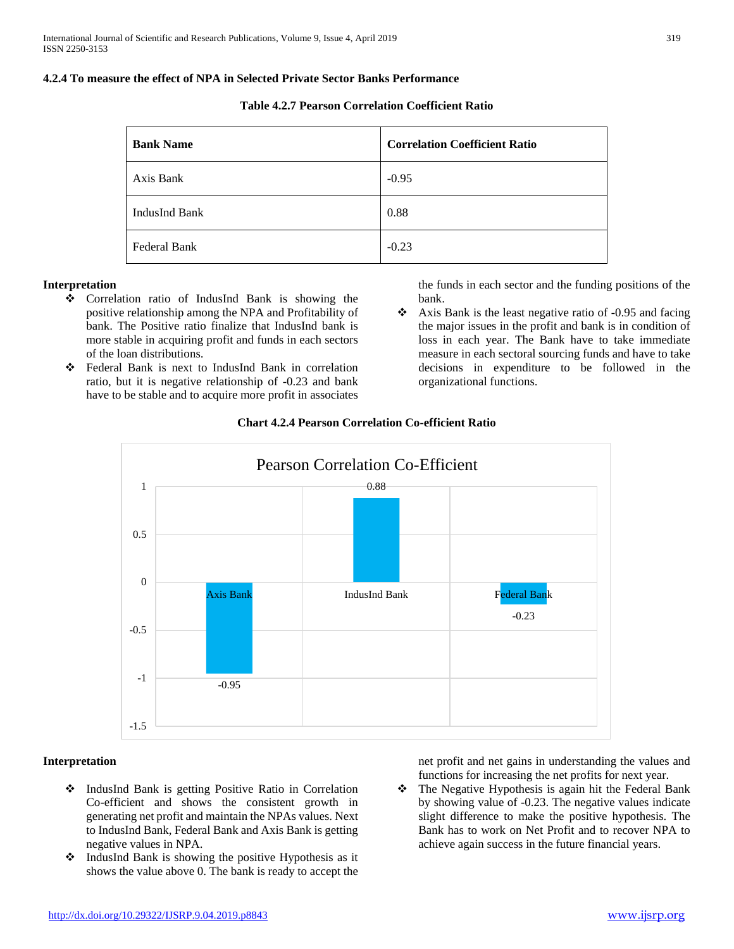#### **4.2.4 To measure the effect of NPA in Selected Private Sector Banks Performance**

| <b>Table 4.2.7 Pearson Correlation Coefficient Ratio</b> |  |  |  |  |
|----------------------------------------------------------|--|--|--|--|
|----------------------------------------------------------|--|--|--|--|

| <b>Bank Name</b> | <b>Correlation Coefficient Ratio</b> |
|------------------|--------------------------------------|
| Axis Bank        | $-0.95$                              |
| IndusInd Bank    | 0.88                                 |
| Federal Bank     | $-0.23$                              |

#### **Interpretation**

- Correlation ratio of IndusInd Bank is showing the positive relationship among the NPA and Profitability of bank. The Positive ratio finalize that IndusInd bank is more stable in acquiring profit and funds in each sectors of the loan distributions.
- Federal Bank is next to IndusInd Bank in correlation ratio, but it is negative relationship of -0.23 and bank have to be stable and to acquire more profit in associates

the funds in each sector and the funding positions of the bank.

 $\bullet$  Axis Bank is the least negative ratio of -0.95 and facing the major issues in the profit and bank is in condition of loss in each year. The Bank have to take immediate measure in each sectoral sourcing funds and have to take decisions in expenditure to be followed in the organizational functions.



#### **Chart 4.2.4 Pearson Correlation Co-efficient Ratio**

#### **Interpretation**

- IndusInd Bank is getting Positive Ratio in Correlation Co-efficient and shows the consistent growth in generating net profit and maintain the NPAs values. Next to IndusInd Bank, Federal Bank and Axis Bank is getting negative values in NPA.
- $\triangleleft$  IndusInd Bank is showing the positive Hypothesis as it shows the value above 0. The bank is ready to accept the

net profit and net gains in understanding the values and functions for increasing the net profits for next year.

\* The Negative Hypothesis is again hit the Federal Bank by showing value of -0.23. The negative values indicate slight difference to make the positive hypothesis. The Bank has to work on Net Profit and to recover NPA to achieve again success in the future financial years.